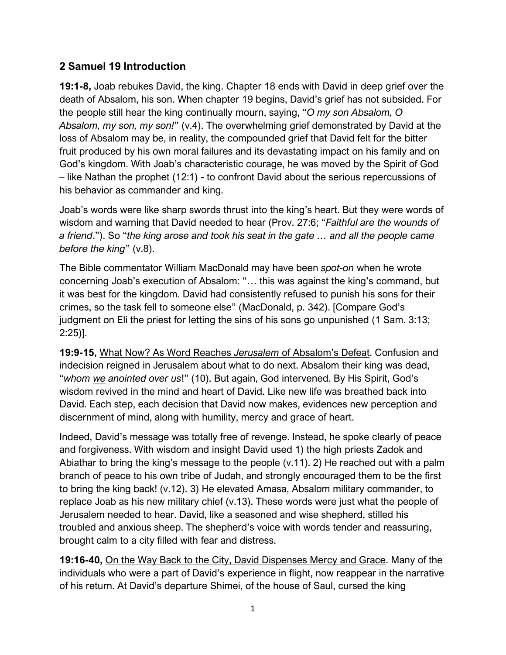## **2 Samuel 19 Introduction**

**19:1-8,** Joab rebukes David, the king. Chapter 18 ends with David in deep grief over the death of Absalom, his son. When chapter 19 begins, David's grief has not subsided. For the people still hear the king continually mourn, saying, "*O my son Absalom, O Absalom, my son, my son!*" (v.4). The overwhelming grief demonstrated by David at the loss of Absalom may be, in reality, the compounded grief that David felt for the bitter fruit produced by his own moral failures and its devastating impact on his family and on God's kingdom. With Joab's characteristic courage, he was moved by the Spirit of God – like Nathan the prophet (12:1) - to confront David about the serious repercussions of his behavior as commander and king.

Joab's words were like sharp swords thrust into the king's heart. But they were words of wisdom and warning that David needed to hear (Prov. 27:6; "*Faithful are the wounds of a friend*."). So "*the king arose and took his seat in the gate … and all the people came before the king*" (v.8).

The Bible commentator William MacDonald may have been *spot-on* when he wrote concerning Joab's execution of Absalom: "… this was against the king's command, but it was best for the kingdom. David had consistently refused to punish his sons for their crimes, so the task fell to someone else" (MacDonald, p. 342). [Compare God's judgment on Eli the priest for letting the sins of his sons go unpunished (1 Sam. 3:13; 2:25)].

**19:9-15,** What Now? As Word Reaches *Jerusalem* of Absalom's Defeat. Confusion and indecision reigned in Jerusalem about what to do next. Absalom their king was dead, "*whom we anointed over us*!" (10). But again, God intervened. By His Spirit, God's wisdom revived in the mind and heart of David. Like new life was breathed back into David. Each step, each decision that David now makes, evidences new perception and discernment of mind, along with humility, mercy and grace of heart.

Indeed, David's message was totally free of revenge. Instead, he spoke clearly of peace and forgiveness. With wisdom and insight David used 1) the high priests Zadok and Abiathar to bring the king's message to the people (v.11). 2) He reached out with a palm branch of peace to his own tribe of Judah, and strongly encouraged them to be the first to bring the king back! (v.12). 3) He elevated Amasa, Absalom military commander, to replace Joab as his new military chief (v.13). These words were just what the people of Jerusalem needed to hear. David, like a seasoned and wise shepherd, stilled his troubled and anxious sheep. The shepherd's voice with words tender and reassuring, brought calm to a city filled with fear and distress.

**19:16-40,** On the Way Back to the City, David Dispenses Mercy and Grace. Many of the individuals who were a part of David's experience in flight, now reappear in the narrative of his return. At David's departure Shimei, of the house of Saul, cursed the king